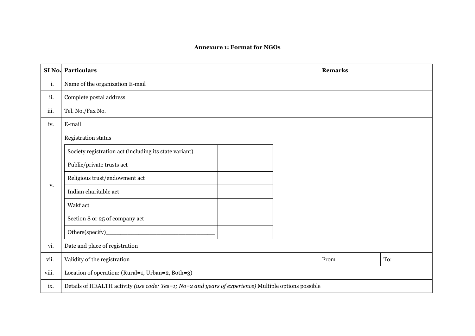## **Annexure 1: Format for NGOs**

| SI <sub>No.</sub> | Particulars                                                                                          | <b>Remarks</b> |     |  |
|-------------------|------------------------------------------------------------------------------------------------------|----------------|-----|--|
| i.                | Name of the organization E-mail                                                                      |                |     |  |
| ii.               | Complete postal address                                                                              |                |     |  |
| iii.              | Tel. No./Fax No.                                                                                     |                |     |  |
| iv.               | E-mail                                                                                               |                |     |  |
|                   | Registration status                                                                                  |                |     |  |
|                   | Society registration act (including its state variant)                                               |                |     |  |
|                   | Public/private trusts act                                                                            |                |     |  |
|                   | Religious trust/endowment act                                                                        |                |     |  |
| V.                | Indian charitable act                                                                                |                |     |  |
|                   | Wakf act                                                                                             |                |     |  |
|                   | Section 8 or 25 of company act                                                                       |                |     |  |
|                   | Others(specify)                                                                                      |                |     |  |
| vi.               | Date and place of registration                                                                       |                |     |  |
| vii.              | Validity of the registration                                                                         | From           | To: |  |
| viii.             | Location of operation: (Rural=1, Urban=2, Both=3)                                                    |                |     |  |
| ix.               | Details of HEALTH activity (use code: Yes=1; No=2 and years of experience) Multiple options possible |                |     |  |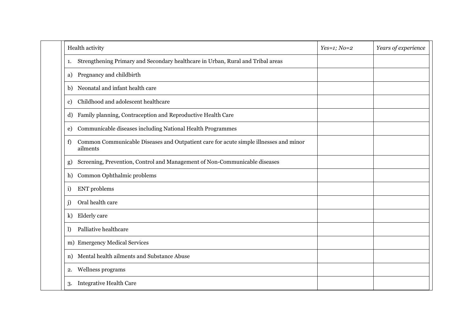| Health activity                                                                                         | $Yes=1; No=2$ | Years of experience |
|---------------------------------------------------------------------------------------------------------|---------------|---------------------|
| Strengthening Primary and Secondary healthcare in Urban, Rural and Tribal areas<br>1.                   |               |                     |
| Pregnancy and childbirth<br>a)                                                                          |               |                     |
| Neonatal and infant health care<br>b)                                                                   |               |                     |
| Childhood and adolescent healthcare<br>c)                                                               |               |                     |
| Family planning, Contraception and Reproductive Health Care<br>d)                                       |               |                     |
| Communicable diseases including National Health Programmes<br>e)                                        |               |                     |
| Common Communicable Diseases and Outpatient care for acute simple illnesses and minor<br>f)<br>ailments |               |                     |
| Screening, Prevention, Control and Management of Non-Communicable diseases<br>g)                        |               |                     |
| Common Ophthalmic problems<br>h)                                                                        |               |                     |
| <b>ENT</b> problems<br>i)                                                                               |               |                     |
| Oral health care<br>j)                                                                                  |               |                     |
| Elderly care<br>k)                                                                                      |               |                     |
| Palliative healthcare<br>$\mathbf{D}$                                                                   |               |                     |
| m) Emergency Medical Services                                                                           |               |                     |
| Mental health ailments and Substance Abuse<br>n)                                                        |               |                     |
| Wellness programs<br>2.                                                                                 |               |                     |
| <b>Integrative Health Care</b><br>3.                                                                    |               |                     |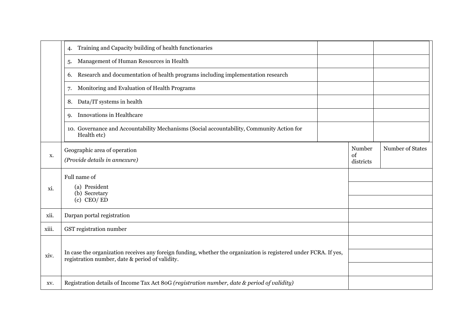|       | Training and Capacity building of health functionaries<br>4.                                                                                                         |  |              |                  |
|-------|----------------------------------------------------------------------------------------------------------------------------------------------------------------------|--|--------------|------------------|
|       | Management of Human Resources in Health<br>5.                                                                                                                        |  |              |                  |
|       | Research and documentation of health programs including implementation research<br>6.                                                                                |  |              |                  |
|       | Monitoring and Evaluation of Health Programs<br>7.                                                                                                                   |  |              |                  |
|       | Data/IT systems in health<br>8.                                                                                                                                      |  |              |                  |
|       | Innovations in Healthcare<br><b>9.</b>                                                                                                                               |  |              |                  |
|       | 10. Governance and Accountability Mechanisms (Social accountability, Community Action for<br>Health etc)                                                             |  |              |                  |
| X.    | Geographic area of operation                                                                                                                                         |  | Number<br>of | Number of States |
|       | (Provide details in annexure)                                                                                                                                        |  | districts    |                  |
| xi.   | Full name of<br>(a) President<br>(b) Secretary<br>$(c)$ CEO/ED                                                                                                       |  |              |                  |
|       |                                                                                                                                                                      |  |              |                  |
|       |                                                                                                                                                                      |  |              |                  |
| xii.  | Darpan portal registration                                                                                                                                           |  |              |                  |
| xiii. | GST registration number                                                                                                                                              |  |              |                  |
|       | In case the organization receives any foreign funding, whether the organization is registered under FCRA. If yes,<br>registration number, date & period of validity. |  |              |                  |
| xiv.  |                                                                                                                                                                      |  |              |                  |
|       |                                                                                                                                                                      |  |              |                  |
| XV.   | Registration details of Income Tax Act 80G (registration number, date & period of validity)                                                                          |  |              |                  |